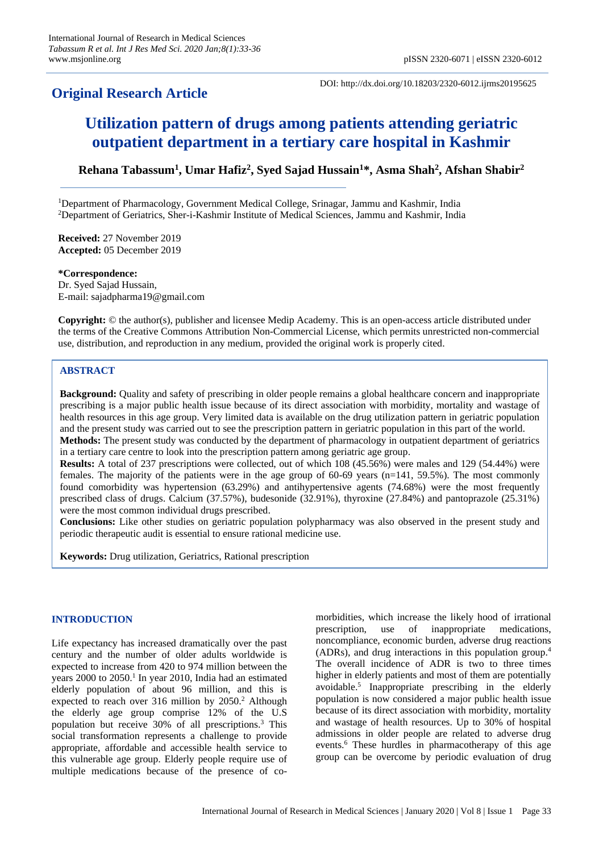# **Original Research Article**

DOI: http://dx.doi.org/10.18203/2320-6012.ijrms20195625

# **Utilization pattern of drugs among patients attending geriatric outpatient department in a tertiary care hospital in Kashmir**

**Rehana Tabassum<sup>1</sup> , Umar Hafiz<sup>2</sup> , Syed Sajad Hussain<sup>1</sup>\*, Asma Shah<sup>2</sup> , Afshan Shabir<sup>2</sup>**

<sup>1</sup>Department of Pharmacology, Government Medical College, Srinagar, Jammu and Kashmir, India <sup>2</sup>Department of Geriatrics, Sher-i-Kashmir Institute of Medical Sciences, Jammu and Kashmir, India

**Received:** 27 November 2019 **Accepted:** 05 December 2019

**\*Correspondence:** Dr. Syed Sajad Hussain, E-mail: sajadpharma19@gmail.com

**Copyright:** © the author(s), publisher and licensee Medip Academy. This is an open-access article distributed under the terms of the Creative Commons Attribution Non-Commercial License, which permits unrestricted non-commercial use, distribution, and reproduction in any medium, provided the original work is properly cited.

# **ABSTRACT**

**Background:** Quality and safety of prescribing in older people remains a global healthcare concern and inappropriate prescribing is a major public health issue because of its direct association with morbidity, mortality and wastage of health resources in this age group. Very limited data is available on the drug utilization pattern in geriatric population and the present study was carried out to see the prescription pattern in geriatric population in this part of the world.

**Methods:** The present study was conducted by the department of pharmacology in outpatient department of geriatrics in a tertiary care centre to look into the prescription pattern among geriatric age group.

**Results:** A total of 237 prescriptions were collected, out of which 108 (45.56%) were males and 129 (54.44%) were females. The majority of the patients were in the age group of 60-69 years (n=141, 59.5%). The most commonly found comorbidity was hypertension (63.29%) and antihypertensive agents (74.68%) were the most frequently prescribed class of drugs. Calcium (37.57%), budesonide (32.91%), thyroxine (27.84%) and pantoprazole (25.31%) were the most common individual drugs prescribed.

**Conclusions:** Like other studies on geriatric population polypharmacy was also observed in the present study and periodic therapeutic audit is essential to ensure rational medicine use.

**Keywords:** Drug utilization, Geriatrics, Rational prescription

# **INTRODUCTION**

Life expectancy has increased dramatically over the past century and the number of older adults worldwide is expected to increase from 420 to 974 million between the years 2000 to 2050. 1 In year 2010, India had an estimated elderly population of about 96 million, and this is expected to reach over 316 million by 2050. <sup>2</sup> Although the elderly age group comprise 12% of the U.S population but receive 30% of all prescriptions. <sup>3</sup> This social transformation represents a challenge to provide appropriate, affordable and accessible health service to this vulnerable age group. Elderly people require use of multiple medications because of the presence of comorbidities, which increase the likely hood of irrational prescription, use of inappropriate medications, noncompliance, economic burden, adverse drug reactions (ADRs), and drug interactions in this population group. 4 The overall incidence of ADR is two to three times higher in elderly patients and most of them are potentially avoidable. 5 Inappropriate prescribing in the elderly population is now considered a major public health issue because of its direct association with morbidity, mortality and wastage of health resources. Up to 30% of hospital admissions in older people are related to adverse drug events. <sup>6</sup> These hurdles in pharmacotherapy of this age group can be overcome by periodic evaluation of drug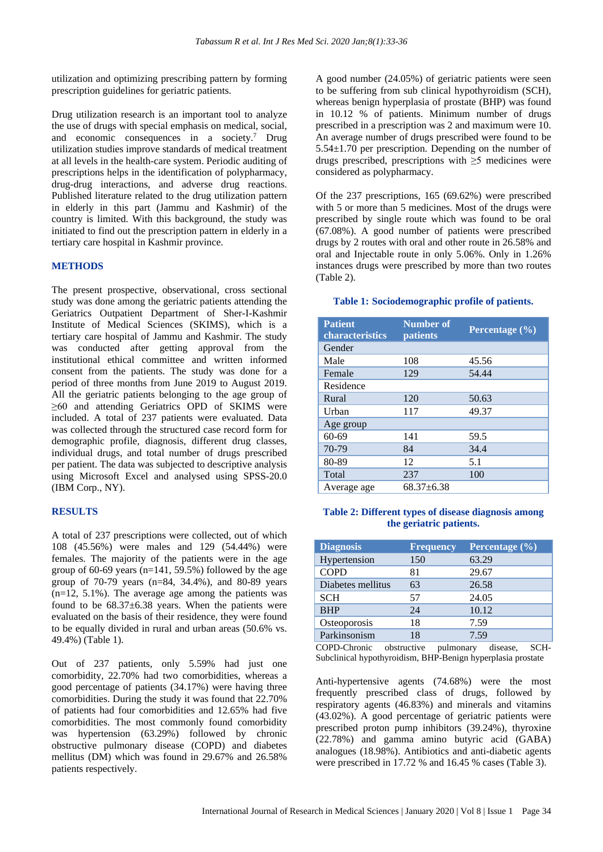utilization and optimizing prescribing pattern by forming prescription guidelines for geriatric patients.

Drug utilization research is an important tool to analyze the use of drugs with special emphasis on medical, social, and economic consequences in a society. <sup>7</sup> Drug utilization studies improve standards of medical treatment at all levels in the health-care system. Periodic auditing of prescriptions helps in the identification of polypharmacy, drug-drug interactions, and adverse drug reactions. Published literature related to the drug utilization pattern in elderly in this part (Jammu and Kashmir) of the country is limited. With this background, the study was initiated to find out the prescription pattern in elderly in a tertiary care hospital in Kashmir province.

### **METHODS**

The present prospective, observational, cross sectional study was done among the geriatric patients attending the Geriatrics Outpatient Department of Sher-I-Kashmir Institute of Medical Sciences (SKIMS), which is a tertiary care hospital of Jammu and Kashmir. The study was conducted after getting approval from the institutional ethical committee and written informed consent from the patients. The study was done for a period of three months from June 2019 to August 2019. All the geriatric patients belonging to the age group of ≥60 and attending Geriatrics OPD of SKIMS were included. A total of 237 patients were evaluated. Data was collected through the structured case record form for demographic profile, diagnosis, different drug classes, individual drugs, and total number of drugs prescribed per patient. The data was subjected to descriptive analysis using Microsoft Excel and analysed using SPSS-20.0 (IBM Corp., NY).

#### **RESULTS**

A total of 237 prescriptions were collected, out of which 108 (45.56%) were males and 129 (54.44%) were females. The majority of the patients were in the age group of 60-69 years ( $n=141, 59.5%$ ) followed by the age group of 70-79 years (n=84, 34.4%), and 80-89 years  $(n=12, 5.1\%)$ . The average age among the patients was found to be  $68.37\pm6.38$  years. When the patients were evaluated on the basis of their residence, they were found to be equally divided in rural and urban areas (50.6% vs. 49.4%) (Table 1).

Out of 237 patients, only 5.59% had just one comorbidity, 22.70% had two comorbidities, whereas a good percentage of patients (34.17%) were having three comorbidities. During the study it was found that 22.70% of patients had four comorbidities and 12.65% had five comorbidities. The most commonly found comorbidity was hypertension (63.29%) followed by chronic obstructive pulmonary disease (COPD) and diabetes mellitus (DM) which was found in 29.67% and 26.58% patients respectively.

A good number (24.05%) of geriatric patients were seen to be suffering from sub clinical hypothyroidism (SCH), whereas benign hyperplasia of prostate (BHP) was found in 10.12 % of patients. Minimum number of drugs prescribed in a prescription was 2 and maximum were 10. An average number of drugs prescribed were found to be 5.54±1.70 per prescription. Depending on the number of drugs prescribed, prescriptions with  $\geq$ 5 medicines were considered as polypharmacy.

Of the 237 prescriptions, 165 (69.62%) were prescribed with 5 or more than 5 medicines. Most of the drugs were prescribed by single route which was found to be oral (67.08%). A good number of patients were prescribed drugs by 2 routes with oral and other route in 26.58% and oral and Injectable route in only 5.06%. Only in 1.26% instances drugs were prescribed by more than two routes (Table 2).

#### **Table 1: Sociodemographic profile of patients.**

| <b>Patient</b><br>characteristics | <b>Number of</b><br>patients | Percentage (%) |
|-----------------------------------|------------------------------|----------------|
| Gender                            |                              |                |
| Male                              | 108                          | 45.56          |
| Female                            | 129                          | 54.44          |
| Residence                         |                              |                |
| Rural                             | 120                          | 50.63          |
| Urban                             | 117                          | 49.37          |
| Age group                         |                              |                |
| $60 - 69$                         | 141                          | 59.5           |
| 70-79                             | 84                           | 34.4           |
| 80-89                             | 12                           | 5.1            |
| Total                             | 237                          | 100            |
| Average age                       | $68.37 \pm 6.38$             |                |

### **Table 2: Different types of disease diagnosis among the geriatric patients.**

| <b>Diagnosis</b>  | <b>Frequency</b> | Percentage (%) |
|-------------------|------------------|----------------|
| Hypertension      | 150              | 63.29          |
| <b>COPD</b>       | 81               | 29.67          |
| Diabetes mellitus | 63               | 26.58          |
| <b>SCH</b>        | 57               | 24.05          |
| <b>BHP</b>        | 24               | 10.12          |
| Osteoporosis      | 18               | 7.59           |
| Parkinsonism      | 18               | 7.59           |

COPD-Chronic obstructive pulmonary disease, SCH-Subclinical hypothyroidism, BHP-Benign hyperplasia prostate

Anti-hypertensive agents (74.68%) were the most frequently prescribed class of drugs, followed by respiratory agents (46.83%) and minerals and vitamins (43.02%). A good percentage of geriatric patients were prescribed proton pump inhibitors (39.24%), thyroxine (22.78%) and gamma amino butyric acid (GABA) analogues (18.98%). Antibiotics and anti-diabetic agents were prescribed in 17.72 % and 16.45 % cases (Table 3).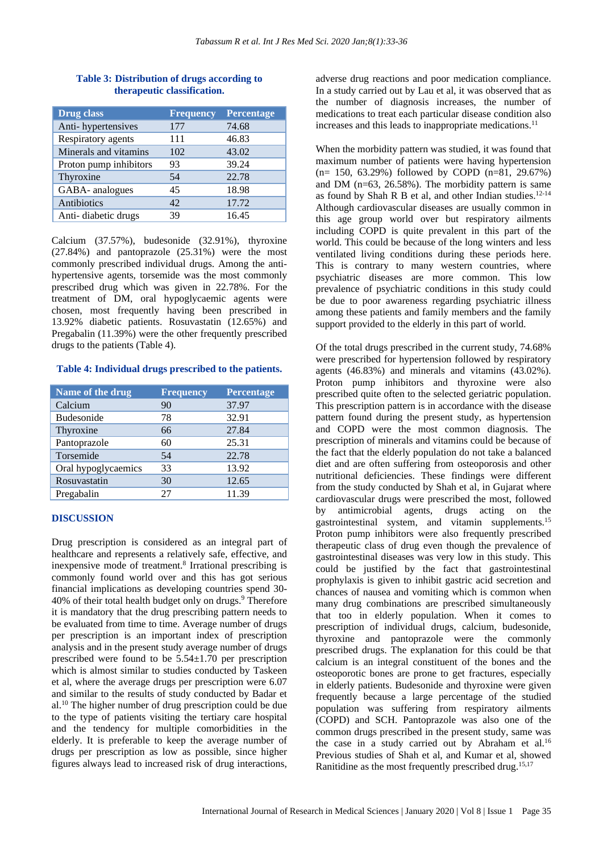| <b>Drug</b> class      | <b>Frequency</b> | <b>Percentage</b> |
|------------------------|------------------|-------------------|
| Anti-hypertensives     | 177              | 74.68             |
| Respiratory agents     | 111              | 46.83             |
| Minerals and vitamins  | 102              | 43.02             |
| Proton pump inhibitors | 93               | 39.24             |
| Thyroxine              | 54               | 22.78             |
| GABA- analogues        | 45               | 18.98             |
| Antibiotics            | 42               | 17.72             |
| Anti-diabetic drugs    | 39               | 16.45             |

#### **Table 3: Distribution of drugs according to therapeutic classification.**

Calcium (37.57%), budesonide (32.91%), thyroxine (27.84%) and pantoprazole (25.31%) were the most commonly prescribed individual drugs. Among the antihypertensive agents, torsemide was the most commonly prescribed drug which was given in 22.78%. For the treatment of DM, oral hypoglycaemic agents were chosen, most frequently having been prescribed in 13.92% diabetic patients. Rosuvastatin (12.65%) and Pregabalin (11.39%) were the other frequently prescribed drugs to the patients (Table 4).

#### **Table 4: Individual drugs prescribed to the patients.**

| Name of the drug    | <b>Frequency</b> | <b>Percentage</b> |
|---------------------|------------------|-------------------|
| Calcium             | 90               | 37.97             |
| <b>Budesonide</b>   | 78               | 32.91             |
| Thyroxine           | 66               | 27.84             |
| Pantoprazole        | 60               | 25.31             |
| Torsemide           | 54               | 22.78             |
| Oral hypoglycaemics | 33               | 13.92             |
| Rosuvastatin        | 30               | 12.65             |
| Pregabalin          | 27               | 11.39             |

## **DISCUSSION**

Drug prescription is considered as an integral part of healthcare and represents a relatively safe, effective, and inexpensive mode of treatment.<sup>8</sup> Irrational prescribing is commonly found world over and this has got serious financial implications as developing countries spend 30- 40% of their total health budget only on drugs.<sup>9</sup> Therefore it is mandatory that the drug prescribing pattern needs to be evaluated from time to time. Average number of drugs per prescription is an important index of prescription analysis and in the present study average number of drugs prescribed were found to be 5.54±1.70 per prescription which is almost similar to studies conducted by Taskeen et al, where the average drugs per prescription were 6.07 and similar to the results of study conducted by Badar et al.<sup>10</sup> The higher number of drug prescription could be due to the type of patients visiting the tertiary care hospital and the tendency for multiple comorbidities in the elderly. It is preferable to keep the average number of drugs per prescription as low as possible, since higher figures always lead to increased risk of drug interactions, adverse drug reactions and poor medication compliance. In a study carried out by Lau et al, it was observed that as the number of diagnosis increases, the number of medications to treat each particular disease condition also increases and this leads to inappropriate medications.<sup>11</sup>

When the morbidity pattern was studied, it was found that maximum number of patients were having hypertension (n= 150, 63.29%) followed by COPD (n=81, 29.67%) and DM (n=63, 26.58%). The morbidity pattern is same as found by Shah R B et al, and other Indian studies. $12-14$ Although cardiovascular diseases are usually common in this age group world over but respiratory ailments including COPD is quite prevalent in this part of the world. This could be because of the long winters and less ventilated living conditions during these periods here. This is contrary to many western countries, where psychiatric diseases are more common. This low prevalence of psychiatric conditions in this study could be due to poor awareness regarding psychiatric illness among these patients and family members and the family support provided to the elderly in this part of world.

Of the total drugs prescribed in the current study, 74.68% were prescribed for hypertension followed by respiratory agents (46.83%) and minerals and vitamins (43.02%). Proton pump inhibitors and thyroxine were also prescribed quite often to the selected geriatric population. This prescription pattern is in accordance with the disease pattern found during the present study, as hypertension and COPD were the most common diagnosis. The prescription of minerals and vitamins could be because of the fact that the elderly population do not take a balanced diet and are often suffering from osteoporosis and other nutritional deficiencies. These findings were different from the study conducted by Shah et al, in Gujarat where cardiovascular drugs were prescribed the most, followed by antimicrobial agents, drugs acting on the gastrointestinal system, and vitamin supplements.<sup>15</sup> Proton pump inhibitors were also frequently prescribed therapeutic class of drug even though the prevalence of gastrointestinal diseases was very low in this study. This could be justified by the fact that gastrointestinal prophylaxis is given to inhibit gastric acid secretion and chances of nausea and vomiting which is common when many drug combinations are prescribed simultaneously that too in elderly population. When it comes to prescription of individual drugs, calcium, budesonide, thyroxine and pantoprazole were the commonly prescribed drugs. The explanation for this could be that calcium is an integral constituent of the bones and the osteoporotic bones are prone to get fractures, especially in elderly patients. Budesonide and thyroxine were given frequently because a large percentage of the studied population was suffering from respiratory ailments (COPD) and SCH. Pantoprazole was also one of the common drugs prescribed in the present study, same was the case in a study carried out by Abraham et al.<sup>16</sup> Previous studies of Shah et al, and Kumar et al, showed Ranitidine as the most frequently prescribed drug.15,17